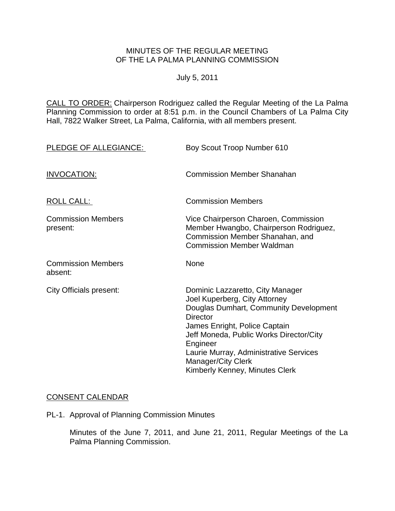### MINUTES OF THE REGULAR MEETING OF THE LA PALMA PLANNING COMMISSION

### July 5, 2011

CALL TO ORDER: Chairperson Rodriguez called the Regular Meeting of the La Palma Planning Commission to order at 8:51 p.m. in the Council Chambers of La Palma City Hall, 7822 Walker Street, La Palma, California, with all members present.

| PLEDGE OF ALLEGIANCE:                 | Boy Scout Troop Number 610                                                                                                                                                                                                                                                                                               |
|---------------------------------------|--------------------------------------------------------------------------------------------------------------------------------------------------------------------------------------------------------------------------------------------------------------------------------------------------------------------------|
| <b>INVOCATION:</b>                    | <b>Commission Member Shanahan</b>                                                                                                                                                                                                                                                                                        |
| <b>ROLL CALL:</b>                     | <b>Commission Members</b>                                                                                                                                                                                                                                                                                                |
| <b>Commission Members</b><br>present: | Vice Chairperson Charoen, Commission<br>Member Hwangbo, Chairperson Rodriguez,<br>Commission Member Shanahan, and<br><b>Commission Member Waldman</b>                                                                                                                                                                    |
| <b>Commission Members</b><br>absent:  | None                                                                                                                                                                                                                                                                                                                     |
| <b>City Officials present:</b>        | Dominic Lazzaretto, City Manager<br>Joel Kuperberg, City Attorney<br>Douglas Dumhart, Community Development<br><b>Director</b><br>James Enright, Police Captain<br>Jeff Moneda, Public Works Director/City<br>Engineer<br>Laurie Murray, Administrative Services<br>Manager/City Clerk<br>Kimberly Kenney, Minutes Clerk |

# [CONSENT CALENDAR](http://lapalma.granicus.com/MediaPlayerFrameHandler.php?view_id=&clip_id=596&meta_id=75755)

PL-1. Approval of Planning Commission Minutes

Minutes of the June 7, 2011, and June 21, 2011, Regular Meetings of the La Palma Planning Commission.